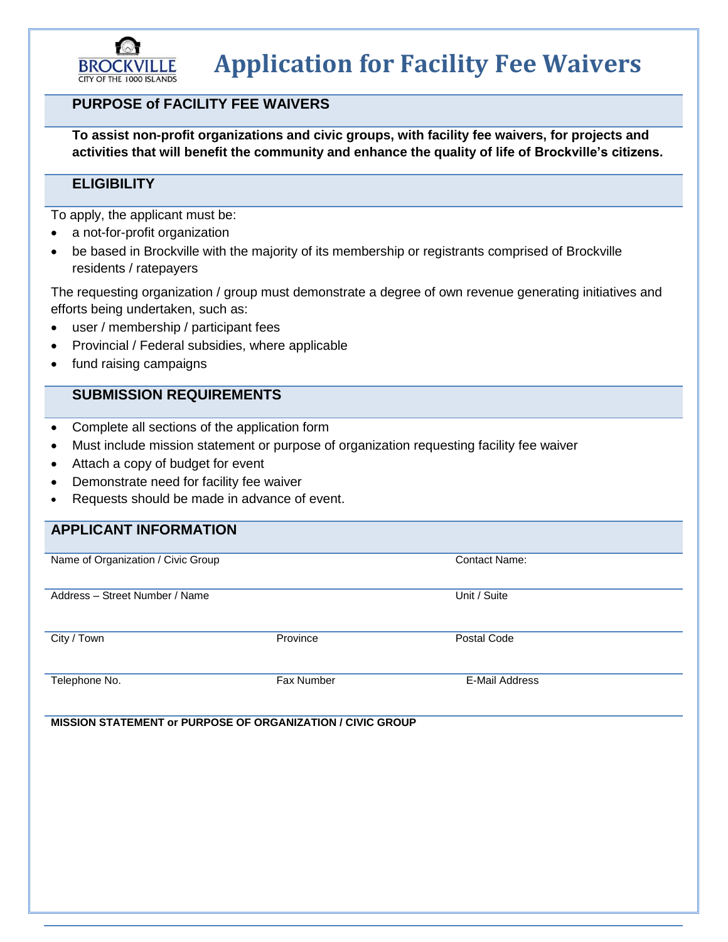

# **Application for Facility Fee Waivers**

## **PURPOSE of FACILITY FEE WAIVERS**

**To assist non-profit organizations and civic groups, with facility fee waivers, for projects and activities that will benefit the community and enhance the quality of life of Brockville's citizens.**

#### **ELIGIBILITY**

To apply, the applicant must be:

- a not-for-profit organization
- be based in Brockville with the majority of its membership or registrants comprised of Brockville residents / ratepayers

The requesting organization / group must demonstrate a degree of own revenue generating initiatives and efforts being undertaken, such as:

- user / membership / participant fees
- Provincial / Federal subsidies, where applicable
- fund raising campaigns

### **SUBMISSION REQUIREMENTS**

- Complete all sections of the application form
- Must include mission statement or purpose of organization requesting facility fee waiver
- Attach a copy of budget for event
- Demonstrate need for facility fee waiver
- Requests should be made in advance of event.

#### **APPLICANT INFORMATION**

| Name of Organization / Civic Group |            | <b>Contact Name:</b>  |
|------------------------------------|------------|-----------------------|
|                                    |            |                       |
|                                    |            |                       |
|                                    |            |                       |
| Address - Street Number / Name     |            | Unit / Suite          |
|                                    |            |                       |
|                                    |            |                       |
|                                    |            |                       |
|                                    |            |                       |
| City / Town                        | Province   | Postal Code           |
|                                    |            |                       |
|                                    |            |                       |
|                                    |            |                       |
|                                    |            |                       |
| Telephone No.                      | Fax Number | <b>E-Mail Address</b> |
|                                    |            |                       |
|                                    |            |                       |
|                                    |            |                       |

**MISSION STATEMENT or PURPOSE OF ORGANIZATION / CIVIC GROUP**